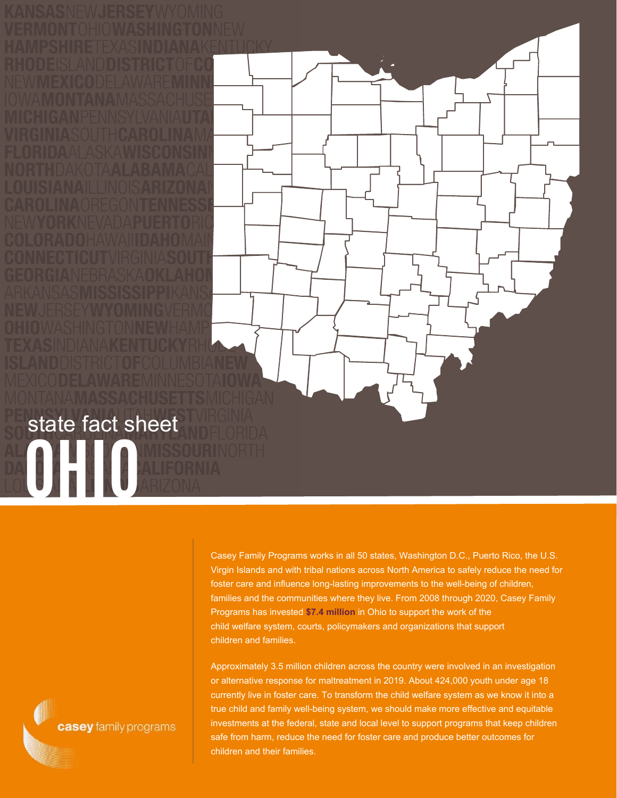Casey Family Programs works in all 50 states, Washington D.C., Puerto Rico, the U.S. Virgin Islands and with tribal nations across North America to safely reduce the need for foster care and influence long-lasting improvements to the well-being of children, families and the communities where they live. From 2008 through 2020, Casey Family Programs has invested **\$7.4 million** in Ohio to support the work of the child welfare system, courts, policymakers and organizations that support children and families.

Approximately 3.5 million children across the country were involved in an investigation or alternative response for maltreatment in 2019. About 424,000 youth under age 18 currently live in foster care. To transform the child welfare system as we know it into a true child and family well-being system, we should make more effective and equitable investments at the federal, state and local level to support programs that keep children safe from harm, reduce the need for foster care and produce better outcomes for children and their families.

casey family programs

## **OHIORE** state fact sheet

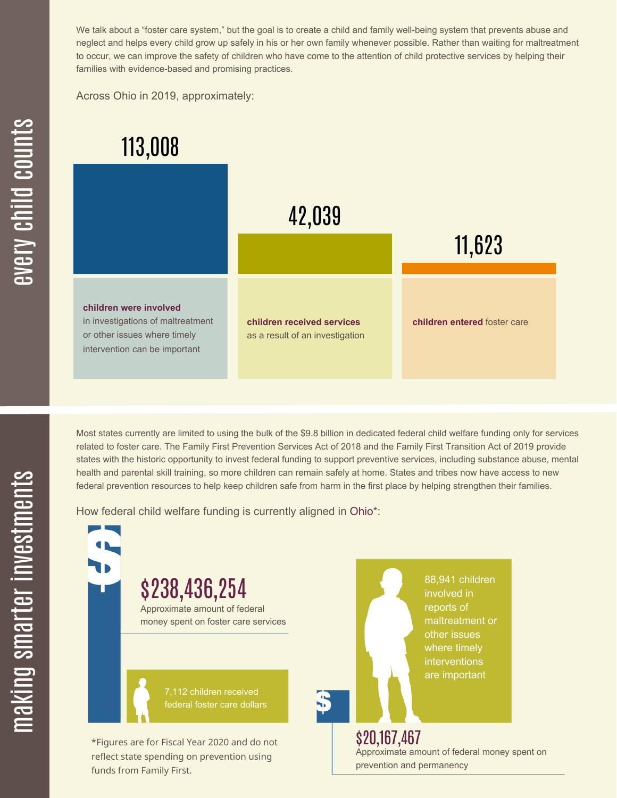We talk about a "foster care system," but the goal is to create a child and family well-being system that prevents abuse and neglect and helps every child grow up safely in his or her own family whenever possible. Rather than waiting for maltreatment to occur, we can improve the safety of children who have come to the attention of child protective services by helping their families with evidence-based and promising practices.

Across Ohio in 2019, approximately:



Most states currently are limited to using the bulk of the \$9.8 billion in dedicated federal child welfare funding only for services related to foster care. The Family First Prevention Services Act of 2018 and the Family First Transition Act of 2019 provide states with the historic opportunity to invest federal funding to support preventive services, including substance abuse, mental health and parental skill training, so more children can remain safely at home. States and tribes now have access to new federal prevention resources to help keep children safe from harm in the first place by helping strengthen their families.

How federal child welfare funding is currently aligned in Ohio\*:

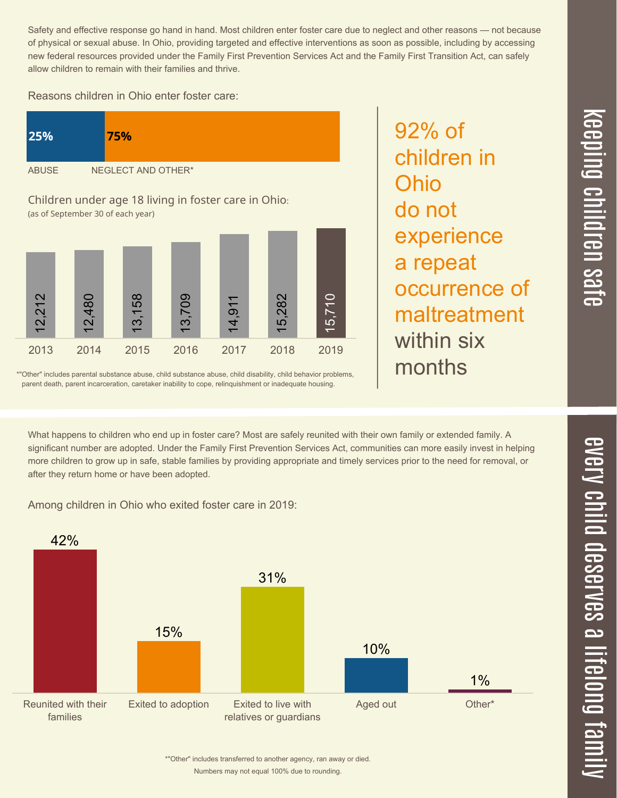$\overline{\mathbf{c}}$  $\overline{\phantom{0}}$  $\boldsymbol{\mathcal{O}}$ a  $\overrightarrow{\mathbf{e}}$  $\overline{\mathbf{C}}$  $\leq$  $\overline{\mathbf{C}}$  $\overline{\mathsf{Z}}$  $\overline{\mathbf{C}}$  $\equiv$  $\blacksquare$ e  $\boldsymbol{\mathcal{C}}$ 

> $\overline{\mathbf{C}}$  $\overline{\phantom{a}}$  $\overline{\mathbf{C}}$  $\mathcal{C}$ <u>م</u>

 $\equiv$ 

el<br>O  $\overline{\phantom{0}}$  $\blacksquare$ 

t<br>B

mily

 $\overline{\phantom{1}}$  $\overline{\mathbf \Theta}$  $\overline{\mathbf{C}}$ 

<u>pin</u>  $\overline{\mathbf{C}}$  $\overline{\mathbf{C}}$ 

 $\equiv$ 

Safety and effective response go hand in hand. Most children enter foster care due to neglect and other reasons — not because of physical or sexual abuse. In Ohio, providing targeted and effective interventions as soon as possible, including by accessing new federal resources provided under the Family First Prevention Services Act and the Family First Transition Act, can safely allow children to remain with their families and thrive.

92% of

Ohio

do not

children in

experience

occurrence of

maltreatment

a repeat

within six

months

Reasons children in Ohio enter foster care:



\*"Other" includes parental substance abuse, child substance abuse, child disability, child behavior problems, parent death, parent incarceration, caretaker inability to cope, relinquishment or inadequate housing.

What happens to children who end up in foster care? Most are safely reunited with their own family or extended family. A significant number are adopted. Under the Family First Prevention Services Act, communities can more easily invest in helping more children to grow up in safe, stable families by providing appropriate and timely services prior to the need for removal, or after they return home or have been adopted.

Among children in Ohio who exited foster care in 2019:



Numbers may not equal 100% due to rounding. \*"Other" includes transferred to another agency, ran away or died.